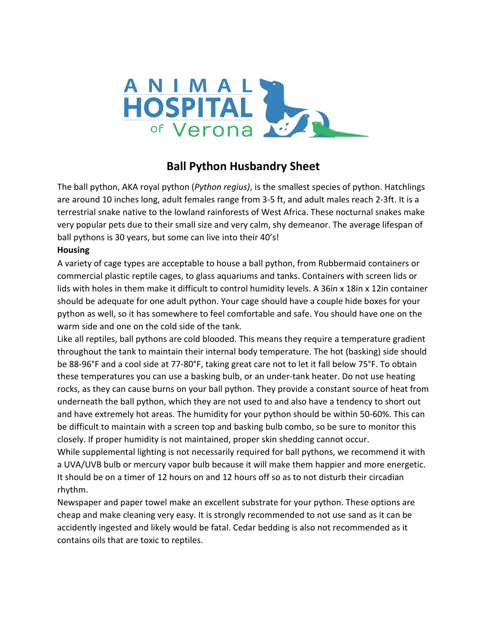

# **Ball Python Husbandry Sheet**

The ball python, AKA royal python (*Python regius)*, is the smallest species of python. Hatchlings are around 10 inches long, adult females range from 3-5 ft, and adult males reach 2-3ft. It is a terrestrial snake native to the lowland rainforests of West Africa. These nocturnal snakes make very popular pets due to their small size and very calm, shy demeanor. The average lifespan of ball pythons is 30 years, but some can live into their 40's!

# **Housing**

A variety of cage types are acceptable to house a ball python, from Rubbermaid containers or commercial plastic reptile cages, to glass aquariums and tanks. Containers with screen lids or lids with holes in them make it difficult to control humidity levels. A 36in x 18in x 12in container should be adequate for one adult python. Your cage should have a couple hide boxes for your python as well, so it has somewhere to feel comfortable and safe. You should have one on the warm side and one on the cold side of the tank.

Like all reptiles, ball pythons are cold blooded. This means they require a temperature gradient throughout the tank to maintain their internal body temperature. The hot (basking) side should be 88-96°F and a cool side at 77-80°F, taking great care not to let it fall below 75°F. To obtain these temperatures you can use a basking bulb, or an under-tank heater. Do not use heating rocks, as they can cause burns on your ball python. They provide a constant source of heat from underneath the ball python, which they are not used to and also have a tendency to short out and have extremely hot areas. The humidity for your python should be within 50-60%. This can be difficult to maintain with a screen top and basking bulb combo, so be sure to monitor this closely. If proper humidity is not maintained, proper skin shedding cannot occur.

While supplemental lighting is not necessarily required for ball pythons, we recommend it with a UVA/UVB bulb or mercury vapor bulb because it will make them happier and more energetic. It should be on a timer of 12 hours on and 12 hours off so as to not disturb their circadian rhythm.

Newspaper and paper towel make an excellent substrate for your python. These options are cheap and make cleaning very easy. It is strongly recommended to not use sand as it can be accidently ingested and likely would be fatal. Cedar bedding is also not recommended as it contains oils that are toxic to reptiles.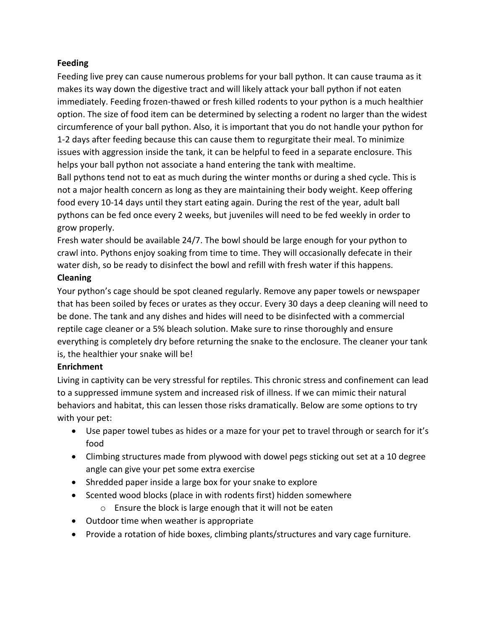# **Feeding**

Feeding live prey can cause numerous problems for your ball python. It can cause trauma as it makes its way down the digestive tract and will likely attack your ball python if not eaten immediately. Feeding frozen-thawed or fresh killed rodents to your python is a much healthier option. The size of food item can be determined by selecting a rodent no larger than the widest circumference of your ball python. Also, it is important that you do not handle your python for 1-2 days after feeding because this can cause them to regurgitate their meal. To minimize issues with aggression inside the tank, it can be helpful to feed in a separate enclosure. This helps your ball python not associate a hand entering the tank with mealtime.

Ball pythons tend not to eat as much during the winter months or during a shed cycle. This is not a major health concern as long as they are maintaining their body weight. Keep offering food every 10-14 days until they start eating again. During the rest of the year, adult ball pythons can be fed once every 2 weeks, but juveniles will need to be fed weekly in order to grow properly.

Fresh water should be available 24/7. The bowl should be large enough for your python to crawl into. Pythons enjoy soaking from time to time. They will occasionally defecate in their water dish, so be ready to disinfect the bowl and refill with fresh water if this happens.

# **Cleaning**

Your python's cage should be spot cleaned regularly. Remove any paper towels or newspaper that has been soiled by feces or urates as they occur. Every 30 days a deep cleaning will need to be done. The tank and any dishes and hides will need to be disinfected with a commercial reptile cage cleaner or a 5% bleach solution. Make sure to rinse thoroughly and ensure everything is completely dry before returning the snake to the enclosure. The cleaner your tank is, the healthier your snake will be!

# **Enrichment**

Living in captivity can be very stressful for reptiles. This chronic stress and confinement can lead to a suppressed immune system and increased risk of illness. If we can mimic their natural behaviors and habitat, this can lessen those risks dramatically. Below are some options to try with your pet:

- Use paper towel tubes as hides or a maze for your pet to travel through or search for it's food
- Climbing structures made from plywood with dowel pegs sticking out set at a 10 degree angle can give your pet some extra exercise
- Shredded paper inside a large box for your snake to explore
- Scented wood blocks (place in with rodents first) hidden somewhere
	- o Ensure the block is large enough that it will not be eaten
- Outdoor time when weather is appropriate
- Provide a rotation of hide boxes, climbing plants/structures and vary cage furniture.